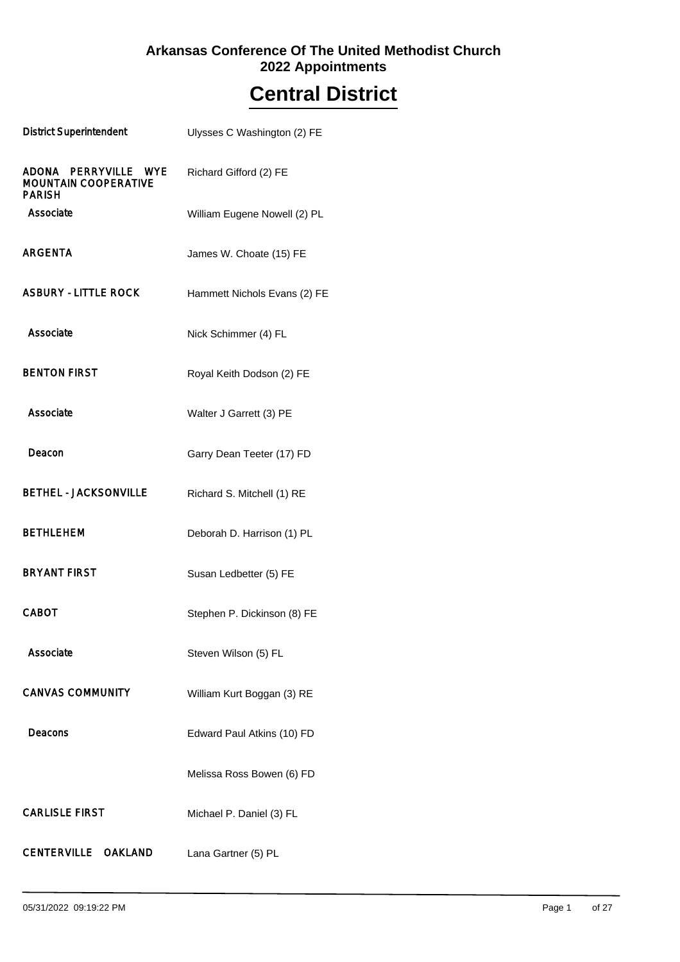### **2022 Appointments Arkansas Conference Of The United Methodist Church**

## **Central District**

| <b>District Superintendent</b>                                       | Ulysses C Washington (2) FE  |
|----------------------------------------------------------------------|------------------------------|
| ADONA PERRYVILLE WYE<br><b>MOUNTAIN COOPERATIVE</b><br><b>PARISH</b> | Richard Gifford (2) FE       |
| Associate                                                            | William Eugene Nowell (2) PL |
| <b>ARGENTA</b>                                                       | James W. Choate (15) FE      |
| <b>ASBURY - LITTLE ROCK</b>                                          | Hammett Nichols Evans (2) FE |
| Associate                                                            | Nick Schimmer (4) FL         |
| <b>BENTON FIRST</b>                                                  | Royal Keith Dodson (2) FE    |
| Associate                                                            | Walter J Garrett (3) PE      |
| Deacon                                                               | Garry Dean Teeter (17) FD    |
| <b>BETHEL - JACKSONVILLE</b>                                         | Richard S. Mitchell (1) RE   |
| <b>BETHLEHEM</b>                                                     | Deborah D. Harrison (1) PL   |
| <b>BRYANT FIRST</b>                                                  | Susan Ledbetter (5) FE       |
| <b>CABOT</b>                                                         | Stephen P. Dickinson (8) FE  |
| Associate                                                            | Steven Wilson (5) FL         |
| <b>CANVAS COMMUNITY</b>                                              | William Kurt Boggan (3) RE   |
| Deacons                                                              | Edward Paul Atkins (10) FD   |
|                                                                      | Melissa Ross Bowen (6) FD    |
| <b>CARLISLE FIRST</b>                                                | Michael P. Daniel (3) FL     |
| CENTERVILLE OAKLAND                                                  | Lana Gartner (5) PL          |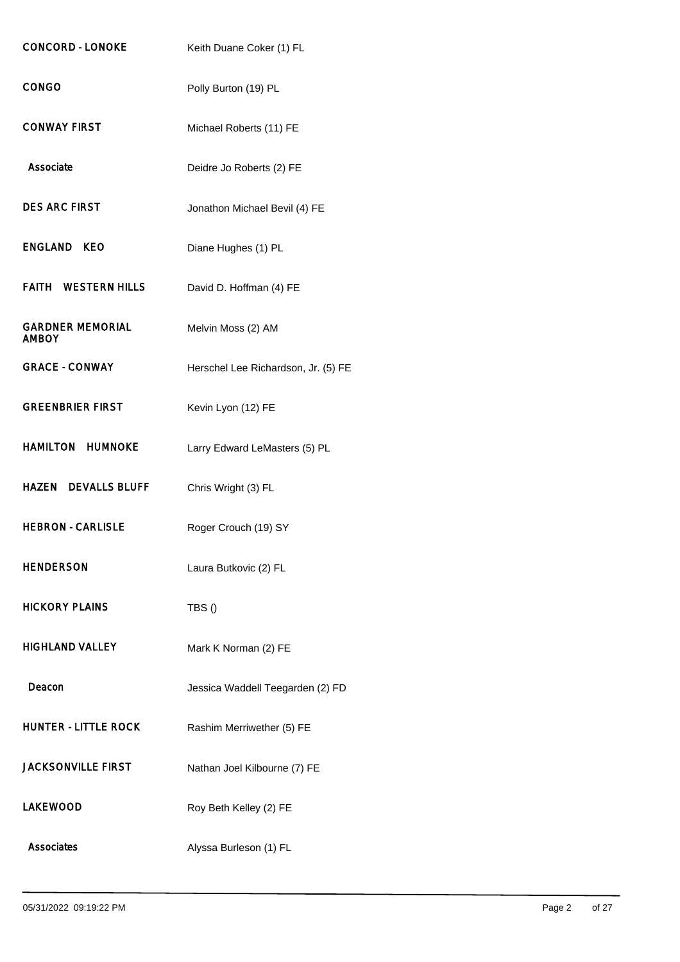| <b>CONCORD - LONOKE</b>                 | Keith Duane Coker (1) FL            |
|-----------------------------------------|-------------------------------------|
| <b>CONGO</b>                            | Polly Burton (19) PL                |
| <b>CONWAY FIRST</b>                     | Michael Roberts (11) FE             |
| Associate                               | Deidre Jo Roberts (2) FE            |
| <b>DES ARC FIRST</b>                    | Jonathon Michael Bevil (4) FE       |
| ENGLAND KEO                             | Diane Hughes (1) PL                 |
| <b>FAITH WESTERN HILLS</b>              | David D. Hoffman (4) FE             |
| <b>GARDNER MEMORIAL</b><br><b>AMBOY</b> | Melvin Moss (2) AM                  |
| <b>GRACE - CONWAY</b>                   | Herschel Lee Richardson, Jr. (5) FE |
| <b>GREENBRIER FIRST</b>                 | Kevin Lyon (12) FE                  |
| <b>HAMILTON HUMNOKE</b>                 | Larry Edward LeMasters (5) PL       |
| <b>HAZEN DEVALLS BLUFF</b>              | Chris Wright (3) FL                 |
| <b>HEBRON - CARLISLE</b>                | Roger Crouch (19) SY                |
| <b>HENDERSON</b>                        | Laura Butkovic (2) FL               |
| <b>HICKORY PLAINS</b>                   | TBS()                               |
| <b>HIGHLAND VALLEY</b>                  | Mark K Norman (2) FE                |
| Deacon                                  | Jessica Waddell Teegarden (2) FD    |
| <b>HUNTER - LITTLE ROCK</b>             | Rashim Merriwether (5) FE           |
| <b>JACKSONVILLE FIRST</b>               | Nathan Joel Kilbourne (7) FE        |
| <b>LAKEWOOD</b>                         | Roy Beth Kelley (2) FE              |
| <b>Associates</b>                       | Alyssa Burleson (1) FL              |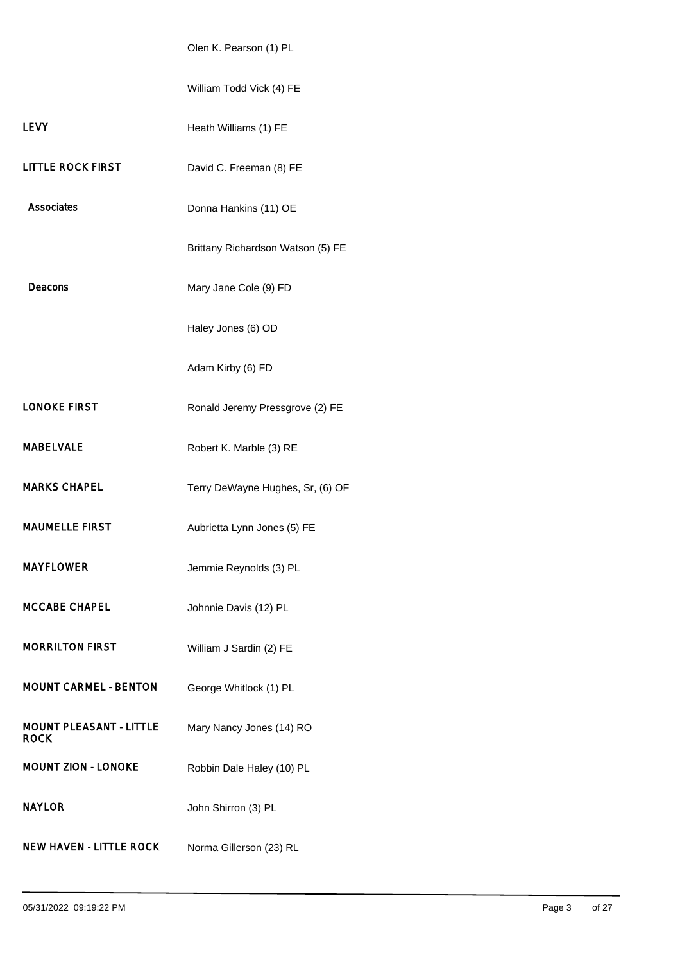Olen K. Pearson (1) PL

|                                               | William Todd Vick (4) FE          |
|-----------------------------------------------|-----------------------------------|
| <b>LEVY</b>                                   | Heath Williams (1) FE             |
| <b>LITTLE ROCK FIRST</b>                      | David C. Freeman (8) FE           |
| Associates                                    | Donna Hankins (11) OE             |
|                                               | Brittany Richardson Watson (5) FE |
| Deacons                                       | Mary Jane Cole (9) FD             |
|                                               | Haley Jones (6) OD                |
|                                               | Adam Kirby (6) FD                 |
| <b>LONOKE FIRST</b>                           | Ronald Jeremy Pressgrove (2) FE   |
| <b>MABELVALE</b>                              | Robert K. Marble (3) RE           |
| <b>MARKS CHAPEL</b>                           | Terry DeWayne Hughes, Sr, (6) OF  |
| <b>MAUMELLE FIRST</b>                         | Aubrietta Lynn Jones (5) FE       |
| <b>MAYFLOWER</b>                              | Jemmie Reynolds (3) PL            |
| <b>MCCABE CHAPEL</b>                          | Johnnie Davis (12) PL             |
| <b>MORRILTON FIRST</b>                        | William J Sardin (2) FE           |
| <b>MOUNT CARMEL - BENTON</b>                  | George Whitlock (1) PL            |
| <b>MOUNT PLEASANT - LITTLE</b><br><b>ROCK</b> | Mary Nancy Jones (14) RO          |
| <b>MOUNT ZION - LONOKE</b>                    | Robbin Dale Haley (10) PL         |
| <b>NAYLOR</b>                                 | John Shirron (3) PL               |
| <b>NEW HAVEN - LITTLE ROCK</b>                | Norma Gillerson (23) RL           |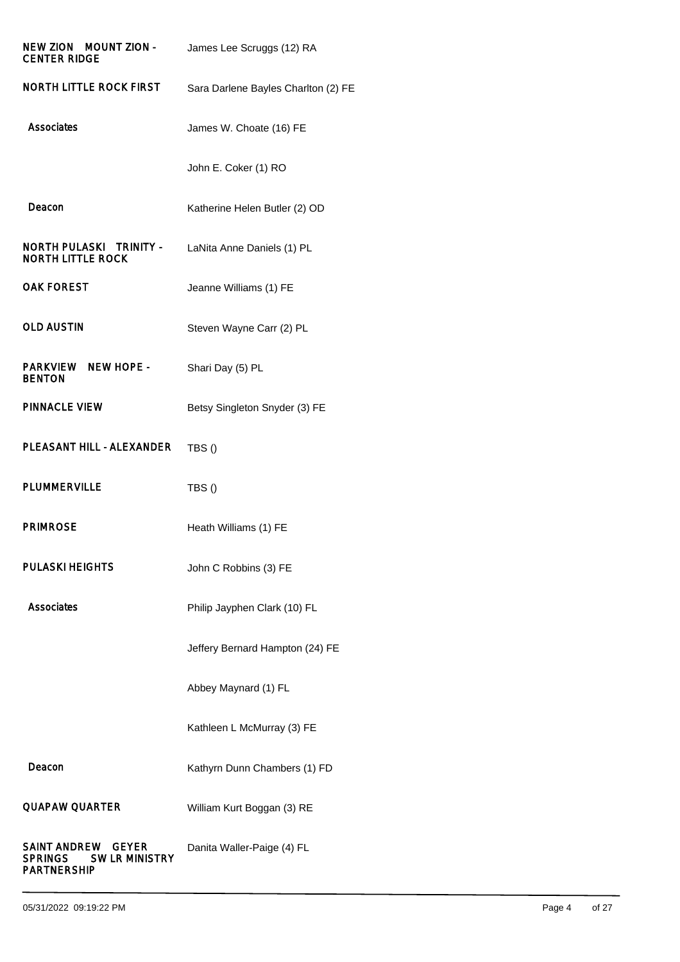| NEW ZION MOUNT ZION -<br><b>CENTER RIDGE</b>                                        | James Lee Scruggs (12) RA           |
|-------------------------------------------------------------------------------------|-------------------------------------|
| <b>NORTH LITTLE ROCK FIRST</b>                                                      | Sara Darlene Bayles Charlton (2) FE |
| Associates                                                                          | James W. Choate (16) FE             |
|                                                                                     | John E. Coker (1) RO                |
| Deacon                                                                              | Katherine Helen Butler (2) OD       |
| <b>NORTH PULASKI TRINITY -</b><br><b>NORTH LITTLE ROCK</b>                          | LaNita Anne Daniels (1) PL          |
| <b>OAK FOREST</b>                                                                   | Jeanne Williams (1) FE              |
| <b>OLD AUSTIN</b>                                                                   | Steven Wayne Carr (2) PL            |
| <b>NEW HOPE -</b><br>PARKVIEW<br><b>BENTON</b>                                      | Shari Day (5) PL                    |
| <b>PINNACLE VIEW</b>                                                                | Betsy Singleton Snyder (3) FE       |
| PLEASANT HILL - ALEXANDER                                                           | TBS()                               |
| <b>PLUMMERVILLE</b>                                                                 | TBS()                               |
| <b>PRIMROSE</b>                                                                     | Heath Williams (1) FE               |
| <b>PULASKI HEIGHTS</b>                                                              | John C Robbins (3) FE               |
| Associates                                                                          | Philip Jayphen Clark (10) FL        |
|                                                                                     | Jeffery Bernard Hampton (24) FE     |
|                                                                                     | Abbey Maynard (1) FL                |
|                                                                                     | Kathleen L McMurray (3) FE          |
| Deacon                                                                              | Kathyrn Dunn Chambers (1) FD        |
| <b>QUAPAW QUARTER</b>                                                               | William Kurt Boggan (3) RE          |
| SAINT ANDREW GEYER<br><b>SW LR MINISTRY</b><br><b>SPRINGS</b><br><b>PARTNERSHIP</b> | Danita Waller-Paige (4) FL          |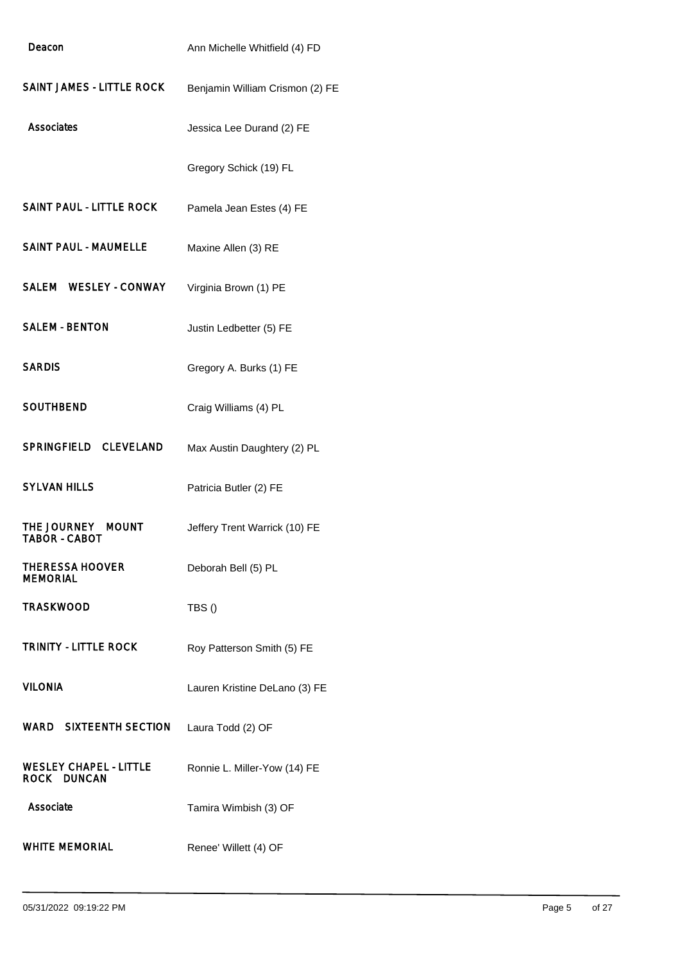| Deacon                                       | Ann Michelle Whitfield (4) FD   |
|----------------------------------------------|---------------------------------|
| <b>SAINT JAMES - LITTLE ROCK</b>             | Benjamin William Crismon (2) FE |
| Associates                                   | Jessica Lee Durand (2) FE       |
|                                              | Gregory Schick (19) FL          |
| <b>SAINT PAUL - LITTLE ROCK</b>              | Pamela Jean Estes (4) FE        |
| <b>SAINT PAUL - MAUMELLE</b>                 | Maxine Allen (3) RE             |
| SALEM WESLEY - CONWAY                        | Virginia Brown (1) PE           |
| <b>SALEM - BENTON</b>                        | Justin Ledbetter (5) FE         |
| <b>SARDIS</b>                                | Gregory A. Burks (1) FE         |
| <b>SOUTHBEND</b>                             | Craig Williams (4) PL           |
| SPRINGFIELD CLEVELAND                        | Max Austin Daughtery (2) PL     |
| <b>SYLVAN HILLS</b>                          | Patricia Butler (2) FE          |
| THE JOURNEY MOUNT<br><b>TABOR - CABOT</b>    | Jeffery Trent Warrick (10) FE   |
| <b>THERESSA HOOVER</b><br><b>MEMORIAL</b>    | Deborah Bell (5) PL             |
| <b>TRASKWOOD</b>                             | TBS()                           |
| <b>TRINITY - LITTLE ROCK</b>                 | Roy Patterson Smith (5) FE      |
| <b>VILONIA</b>                               | Lauren Kristine DeLano (3) FE   |
| <b>WARD SIXTEENTH SECTION</b>                | Laura Todd (2) OF               |
| <b>WESLEY CHAPEL - LITTLE</b><br>ROCK DUNCAN | Ronnie L. Miller-Yow (14) FE    |
| Associate                                    | Tamira Wimbish (3) OF           |
| <b>WHITE MEMORIAL</b>                        | Renee' Willett (4) OF           |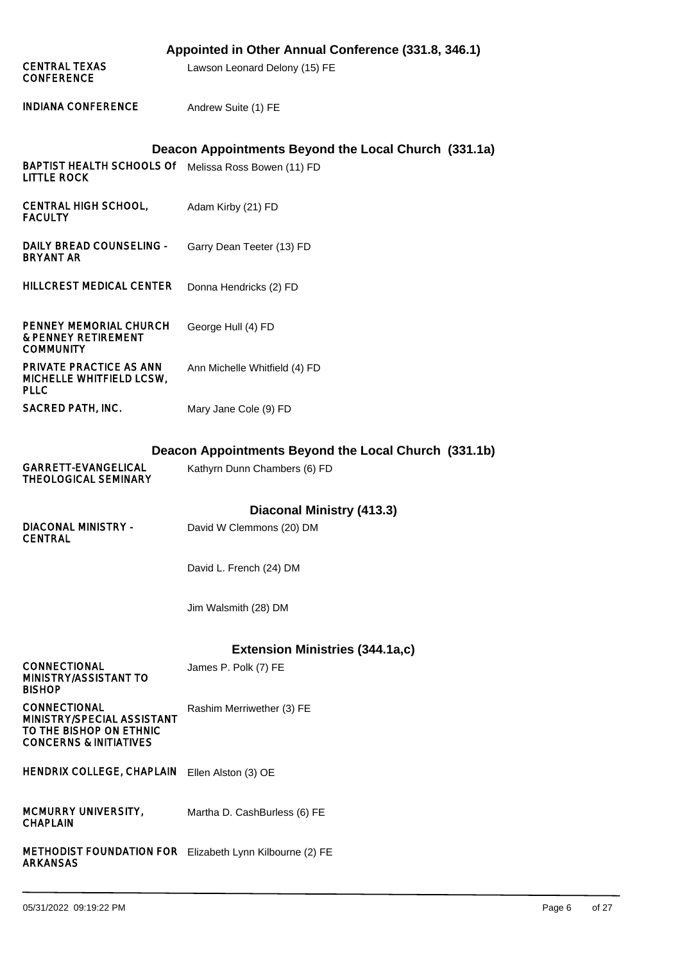|                                                                                                                   | Appointed in Other Annual Conference (331.8, 346.1)            |
|-------------------------------------------------------------------------------------------------------------------|----------------------------------------------------------------|
| <b>CENTRAL TEXAS</b><br><b>CONFERENCE</b>                                                                         | Lawson Leonard Delony (15) FE                                  |
| <b>INDIANA CONFERENCE</b>                                                                                         | Andrew Suite (1) FE                                            |
|                                                                                                                   | Deacon Appointments Beyond the Local Church (331.1a)           |
| BAPTIST HEALTH SCHOOLS Of Melissa Ross Bowen (11) FD<br><b>LITTLE ROCK</b>                                        |                                                                |
| <b>CENTRAL HIGH SCHOOL,</b><br><b>FACULTY</b>                                                                     | Adam Kirby (21) FD                                             |
| DAILY BREAD COUNSELING -<br><b>BRYANT AR</b>                                                                      | Garry Dean Teeter (13) FD                                      |
| <b>HILLCREST MEDICAL CENTER</b>                                                                                   | Donna Hendricks (2) FD                                         |
| PENNEY MEMORIAL CHURCH<br><b>&amp; PENNEY RETIREMENT</b><br><b>COMMUNITY</b>                                      | George Hull (4) FD                                             |
| PRIVATE PRACTICE AS ANN<br>MICHELLE WHITFIELD LCSW,<br><b>PLLC</b>                                                | Ann Michelle Whitfield (4) FD                                  |
| <b>SACRED PATH, INC.</b>                                                                                          | Mary Jane Cole (9) FD                                          |
|                                                                                                                   | Deacon Appointments Beyond the Local Church (331.1b)           |
|                                                                                                                   |                                                                |
| <b>GARRETT-EVANGELICAL</b><br><b>THEOLOGICAL SEMINARY</b>                                                         | Kathyrn Dunn Chambers (6) FD                                   |
|                                                                                                                   |                                                                |
| <b>DIACONAL MINISTRY -</b><br><b>CENTRAL</b>                                                                      | Diaconal Ministry (413.3)<br>David W Clemmons (20) DM          |
|                                                                                                                   | David L. French (24) DM                                        |
|                                                                                                                   | Jim Walsmith (28) DM                                           |
|                                                                                                                   |                                                                |
| <b>CONNECTIONAL</b><br>MINISTRY/ASSISTANT TO<br><b>BISHOP</b>                                                     | <b>Extension Ministries (344.1a,c)</b><br>James P. Polk (7) FE |
| <b>CONNECTIONAL</b><br>MINISTRY/SPECIAL ASSISTANT<br>TO THE BISHOP ON ETHNIC<br><b>CONCERNS &amp; INITIATIVES</b> | Rashim Merriwether (3) FE                                      |
| <b>HENDRIX COLLEGE, CHAPLAIN</b>                                                                                  | Ellen Alston (3) OE                                            |
| <b>MCMURRY UNIVERSITY,</b><br><b>CHAPLAIN</b>                                                                     | Martha D. CashBurless (6) FE                                   |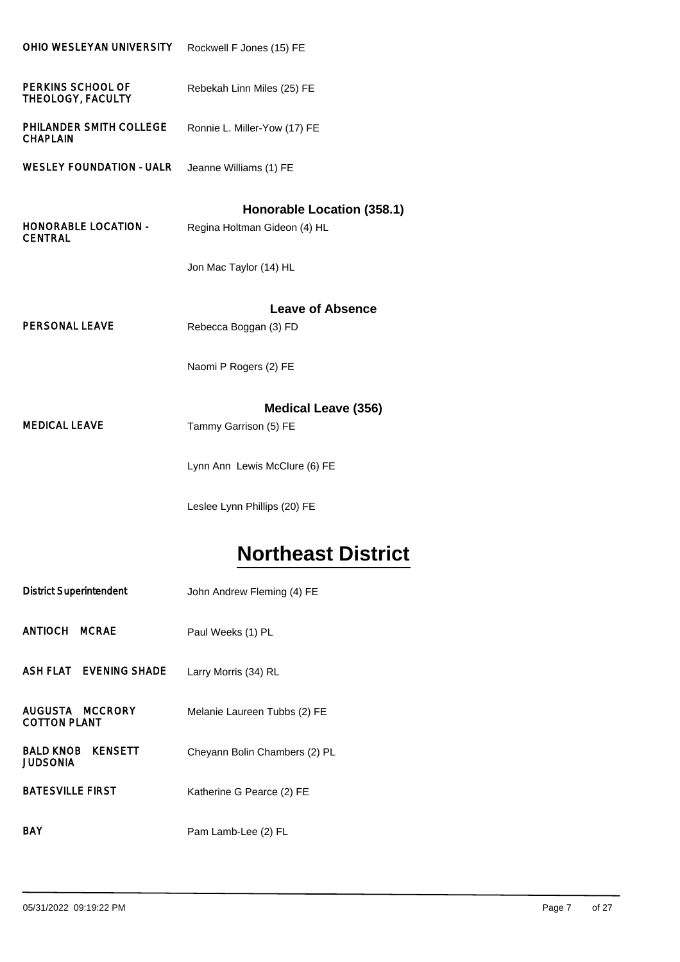| OHIO WESLEYAN UNIVERSITY                      | Rockwell F Jones (15) FE                                                             |
|-----------------------------------------------|--------------------------------------------------------------------------------------|
| PERKINS SCHOOL OF<br>THEOLOGY, FACULTY        | Rebekah Linn Miles (25) FE                                                           |
| PHILANDER SMITH COLLEGE<br><b>CHAPLAIN</b>    | Ronnie L. Miller-Yow (17) FE                                                         |
| <b>WESLEY FOUNDATION - UALR</b>               | Jeanne Williams (1) FE                                                               |
| <b>HONORABLE LOCATION -</b><br><b>CENTRAL</b> | Honorable Location (358.1)<br>Regina Holtman Gideon (4) HL<br>Jon Mac Taylor (14) HL |
|                                               | <b>Leave of Absence</b>                                                              |
| <b>PERSONAL LEAVE</b>                         | Rebecca Boggan (3) FD                                                                |
|                                               | Naomi P Rogers (2) FE                                                                |
| <b>MEDICAL LEAVE</b>                          | <b>Medical Leave (356)</b><br>Tammy Garrison (5) FE                                  |
|                                               | Lynn Ann Lewis McClure (6) FE                                                        |

# **Northeast District**

| <b>District Superintendent</b>                 | John Andrew Fleming (4) FE    |
|------------------------------------------------|-------------------------------|
| ANTIOCH MCRAE                                  | Paul Weeks (1) PL             |
| ASH FLAT EVENING SHADE                         | Larry Morris (34) RL          |
| AUGUSTA MCCRORY<br><b>COTTON PLANT</b>         | Melanie Laureen Tubbs (2) FE  |
| <b>BALD KNOB</b><br><b>KENSETT</b><br>JUDSONIA | Cheyann Bolin Chambers (2) PL |
| <b>BATESVILLE FIRST</b>                        | Katherine G Pearce (2) FE     |
| BAY                                            | Pam Lamb-Lee (2) FL           |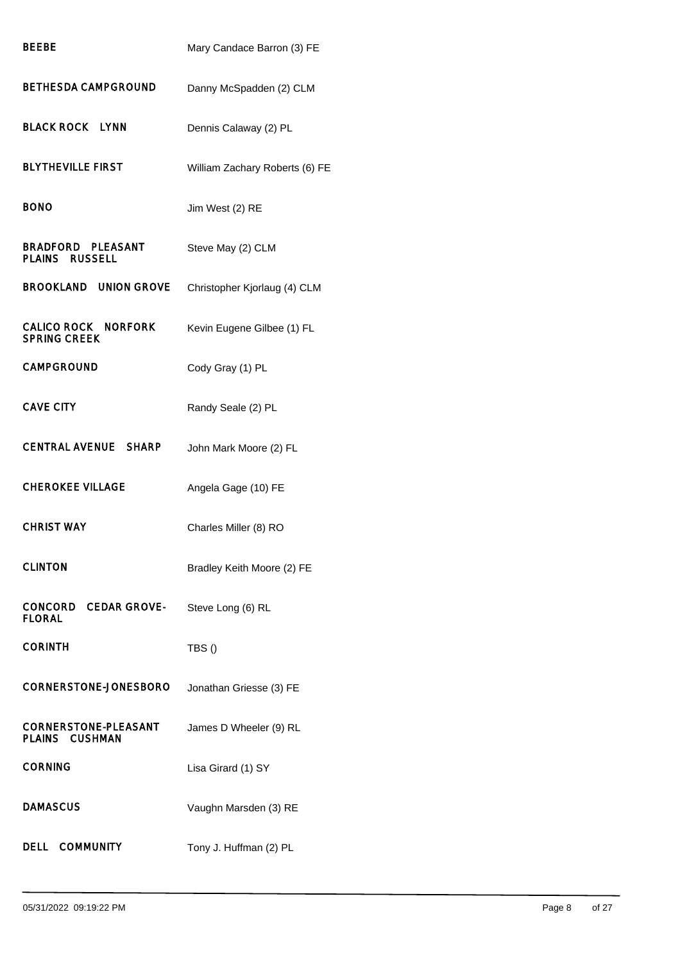| BEEBE                                                | Mary Candace Barron (3) FE     |
|------------------------------------------------------|--------------------------------|
| <b>BETHESDA CAMPGROUND</b>                           | Danny McSpadden (2) CLM        |
| <b>BLACK ROCK LYNN</b>                               | Dennis Calaway (2) PL          |
| <b>BLYTHEVILLE FIRST</b>                             | William Zachary Roberts (6) FE |
| <b>BONO</b>                                          | Jim West (2) RE                |
| <b>BRADFORD PLEASANT</b><br><b>PLAINS RUSSELL</b>    | Steve May (2) CLM              |
| <b>BROOKLAND</b><br><b>UNION GROVE</b>               | Christopher Kjorlaug (4) CLM   |
| CALICO ROCK NORFORK<br><b>SPRING CREEK</b>           | Kevin Eugene Gilbee (1) FL     |
| <b>CAMPGROUND</b>                                    | Cody Gray (1) PL               |
| <b>CAVE CITY</b>                                     | Randy Seale (2) PL             |
| <b>CENTRAL AVENUE</b><br><b>SHARP</b>                | John Mark Moore (2) FL         |
| <b>CHEROKEE VILLAGE</b>                              | Angela Gage (10) FE            |
| <b>CHRIST WAY</b>                                    | Charles Miller (8) RO          |
| <b>CLINTON</b>                                       | Bradley Keith Moore (2) FE     |
| CONCORD CEDAR GROVE-<br><b>FLORAL</b>                | Steve Long (6) RL              |
| CORINTH                                              | TBS()                          |
| <b>CORNERSTONE-JONESBORO</b>                         | Jonathan Griesse (3) FE        |
| <b>CORNERSTONE-PLEASANT</b><br><b>PLAINS CUSHMAN</b> | James D Wheeler (9) RL         |
| <b>CORNING</b>                                       | Lisa Girard (1) SY             |
| <b>DAMASCUS</b>                                      | Vaughn Marsden (3) RE          |
| DELL COMMUNITY                                       | Tony J. Huffman (2) PL         |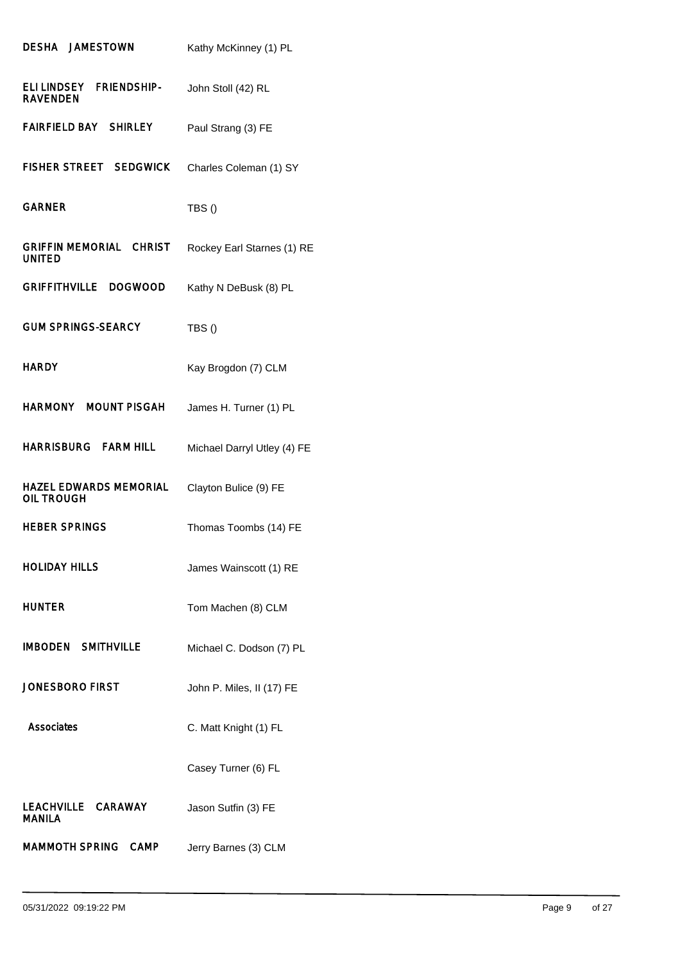| DESHA JAMESTOWN                                      | Kathy McKinney (1) PL       |
|------------------------------------------------------|-----------------------------|
| ELI LINDSEY<br><b>FRIENDSHIP-</b><br><b>RAVENDEN</b> | John Stoll (42) RL          |
| FAIRFIELD BAY SHIRLEY                                | Paul Strang (3) FE          |
| <b>FISHER STREET SEDGWICK</b>                        | Charles Coleman (1) SY      |
| <b>GARNER</b>                                        | TBS()                       |
| <b>GRIFFIN MEMORIAL CHRIST</b><br><b>UNITED</b>      | Rockey Earl Starnes (1) RE  |
| GRIFFITHVILLE DOGWOOD                                | Kathy N DeBusk (8) PL       |
| <b>GUM SPRINGS-SEARCY</b>                            | TBS()                       |
| <b>HARDY</b>                                         | Kay Brogdon (7) CLM         |
| HARMONY MOUNT PISGAH                                 | James H. Turner (1) PL      |
| HARRISBURG FARM HILL                                 | Michael Darryl Utley (4) FE |
| <b>HAZEL EDWARDS MEMORIAL</b><br>OIL TROUGH          | Clayton Bulice (9) FE       |
| <b>HEBER SPRINGS</b>                                 | Thomas Toombs (14) FE       |
| <b>HOLIDAY HILLS</b>                                 | James Wainscott (1) RE      |
| <b>HUNTER</b>                                        | Tom Machen (8) CLM          |
| <b>IMBODEN SMITHVILLE</b>                            | Michael C. Dodson (7) PL    |
| <b>JONESBORO FIRST</b>                               | John P. Miles, II (17) FE   |
| <b>Associates</b>                                    | C. Matt Knight (1) FL       |
|                                                      | Casey Turner (6) FL         |
| LEACHVILLE CARAWAY<br><b>MANILA</b>                  | Jason Sutfin (3) FE         |
| MAMMOTH SPRING CAMP                                  | Jerry Barnes (3) CLM        |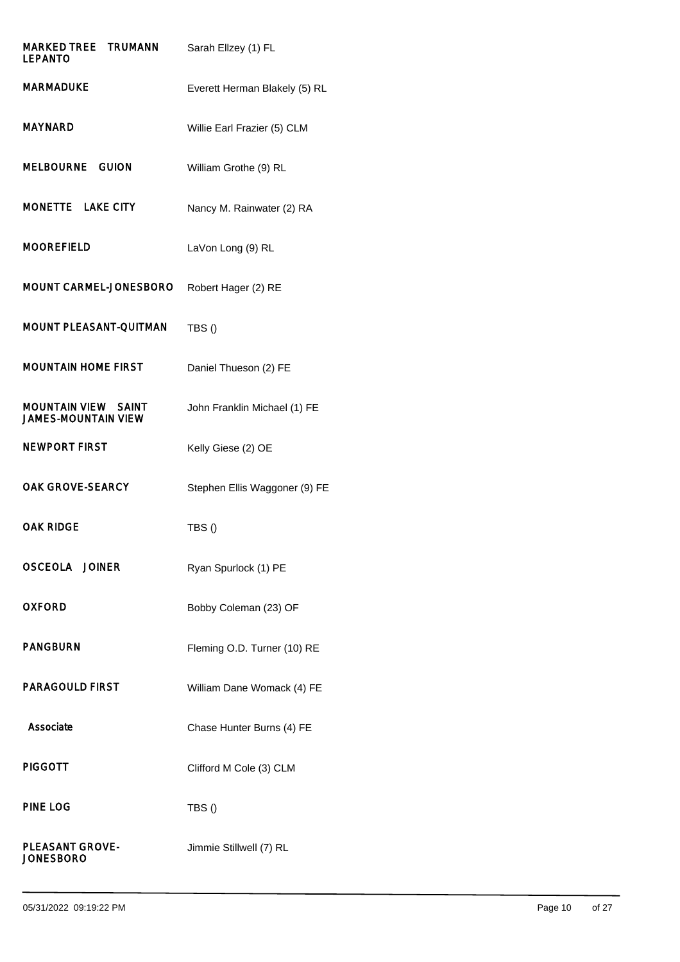| <b>MARKED TREE TRUMANN</b><br><b>LEPANTO</b>             | Sarah Ellzey (1) FL           |
|----------------------------------------------------------|-------------------------------|
| MARMADUKE                                                | Everett Herman Blakely (5) RL |
| <b>MAYNARD</b>                                           | Willie Earl Frazier (5) CLM   |
| MELBOURNE GUION                                          | William Grothe (9) RL         |
| MONETTE LAKE CITY                                        | Nancy M. Rainwater (2) RA     |
| <b>MOOREFIELD</b>                                        | LaVon Long (9) RL             |
| MOUNT CARMEL-JONESBORO                                   | Robert Hager (2) RE           |
| MOUNT PLEASANT-QUITMAN                                   | TBS()                         |
| <b>MOUNTAIN HOME FIRST</b>                               | Daniel Thueson (2) FE         |
| <b>MOUNTAIN VIEW SAINT</b><br><b>JAMES-MOUNTAIN VIEW</b> | John Franklin Michael (1) FE  |
| <b>NEWPORT FIRST</b>                                     | Kelly Giese (2) OE            |
| <b>OAK GROVE-SEARCY</b>                                  | Stephen Ellis Waggoner (9) FE |
| OAK RIDGE                                                | TBS()                         |
| <b>OSCEOLA JOINER</b>                                    | Ryan Spurlock (1) PE          |
| <b>OXFORD</b>                                            | Bobby Coleman (23) OF         |
| <b>PANGBURN</b>                                          | Fleming O.D. Turner (10) RE   |
| <b>PARAGOULD FIRST</b>                                   | William Dane Womack (4) FE    |
| Associate                                                | Chase Hunter Burns (4) FE     |
| <b>PIGGOTT</b>                                           | Clifford M Cole (3) CLM       |
| <b>PINE LOG</b>                                          | TBS()                         |
| <b>PLEASANT GROVE-</b><br><b>JONESBORO</b>               | Jimmie Stillwell (7) RL       |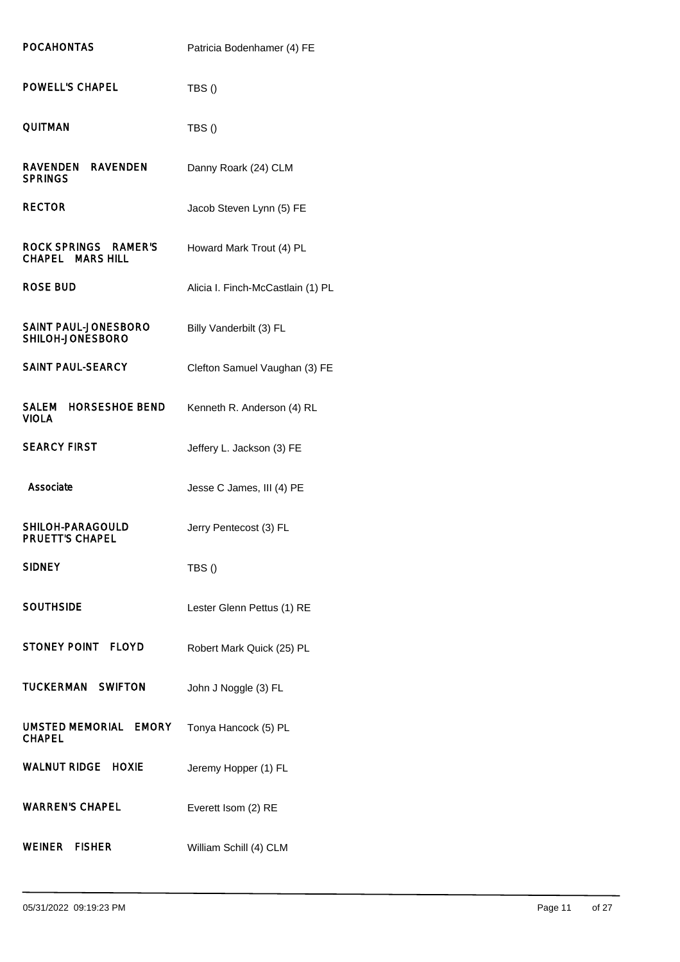| <b>POCAHONTAS</b>                               | Patricia Bodenhamer (4) FE        |
|-------------------------------------------------|-----------------------------------|
| POWELL'S CHAPEL                                 | TBS()                             |
| <b>QUITMAN</b>                                  | TBS()                             |
| <b>RAVENDEN</b><br>RAVENDEN<br><b>SPRINGS</b>   | Danny Roark (24) CLM              |
| <b>RECTOR</b>                                   | Jacob Steven Lynn (5) FE          |
| ROCK SPRINGS RAMER'S<br><b>CHAPEL MARS HILL</b> | Howard Mark Trout (4) PL          |
| <b>ROSE BUD</b>                                 | Alicia I. Finch-McCastlain (1) PL |
| SAINT PAUL-JONESBORO<br>SHILOH-JONESBORO        | Billy Vanderbilt (3) FL           |
| SAINT PAUL-SEARCY                               | Clefton Samuel Vaughan (3) FE     |
| SALEM HORSESHOE BEND<br><b>VIOLA</b>            | Kenneth R. Anderson (4) RL        |
| <b>SEARCY FIRST</b>                             | Jeffery L. Jackson (3) FE         |
| Associate                                       | Jesse C James, III (4) PE         |
| SHILOH-PARAGOULD<br><b>PRUETT'S CHAPEL</b>      | Jerry Pentecost (3) FL            |
| <b>SIDNEY</b>                                   | TBS()                             |
|                                                 |                                   |
| <b>SOUTHSIDE</b>                                | Lester Glenn Pettus (1) RE        |
| STONEY POINT FLOYD                              | Robert Mark Quick (25) PL         |
| <b>TUCKERMAN SWIFTON</b>                        | John J Noggle (3) FL              |
| UMSTED MEMORIAL EMORY<br><b>CHAPEL</b>          | Tonya Hancock (5) PL              |
| <b>WALNUT RIDGE HOXIE</b>                       | Jeremy Hopper (1) FL              |
| <b>WARREN'S CHAPEL</b>                          | Everett Isom (2) RE               |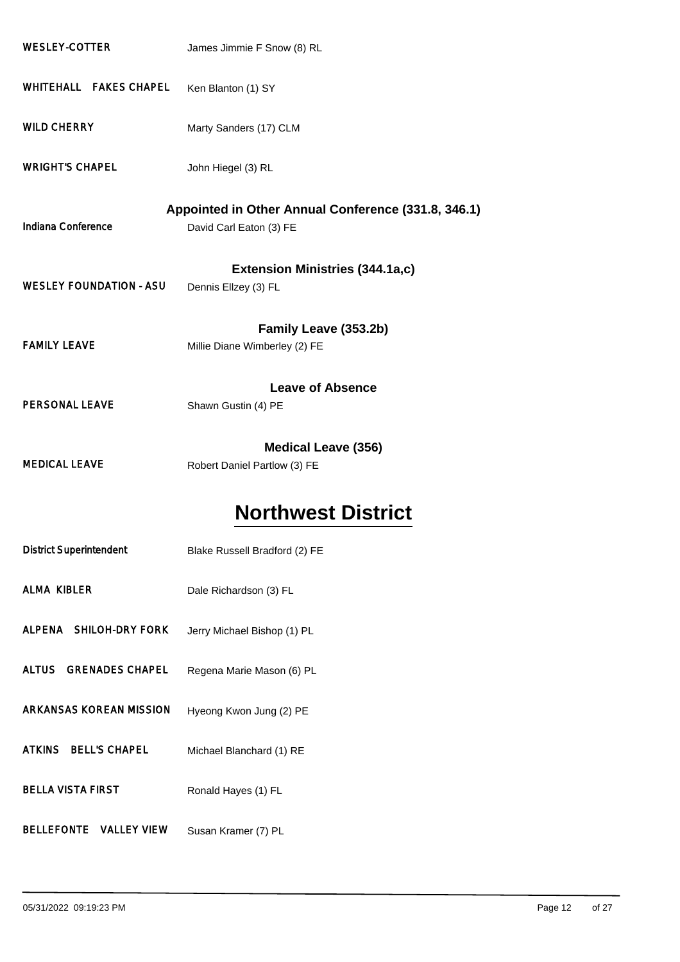| <b>WESLEY-COTTER</b>                                | James Jimmie F Snow (8) RL             |  |
|-----------------------------------------------------|----------------------------------------|--|
| WHITEHALL FAKES CHAPEL                              | Ken Blanton (1) SY                     |  |
| <b>WILD CHERRY</b>                                  | Marty Sanders (17) CLM                 |  |
| <b>WRIGHT'S CHAPEL</b>                              | John Hiegel (3) RL                     |  |
| Appointed in Other Annual Conference (331.8, 346.1) |                                        |  |
| Indiana Conference                                  | David Carl Eaton (3) FE                |  |
|                                                     | <b>Extension Ministries (344.1a,c)</b> |  |
| <b>WESLEY FOUNDATION - ASU</b>                      | Dennis Ellzey (3) FL                   |  |
|                                                     | Family Leave (353.2b)                  |  |
| <b>FAMILY LEAVE</b>                                 | Millie Diane Wimberley (2) FE          |  |
|                                                     | <b>Leave of Absence</b>                |  |
| PERSONAL LEAVE                                      | Shawn Gustin (4) PE                    |  |
|                                                     | <b>Medical Leave (356)</b>             |  |
| <b>MEDICAL LEAVE</b>                                | Robert Daniel Partlow (3) FE           |  |
|                                                     | <b>Northwest District</b>              |  |

| <b>District Superintendent</b> | Blake Russell Bradford (2) FE |
|--------------------------------|-------------------------------|
| <b>ALMA KIBLER</b>             | Dale Richardson (3) FL        |
| ALPENA SHILOH-DRY FORK         | Jerry Michael Bishop (1) PL   |
| ALTUS GRENADES CHAPEL          | Regena Marie Mason (6) PL     |
| ARKANSAS KOREAN MISSION        | Hyeong Kwon Jung (2) PE       |
| ATKINS BELL'S CHAPEL           | Michael Blanchard (1) RE      |
| <b>BELLA VISTA FIRST</b>       | Ronald Hayes (1) FL           |
| <b>BELLEFONTE VALLEY VIEW</b>  | Susan Kramer (7) PL           |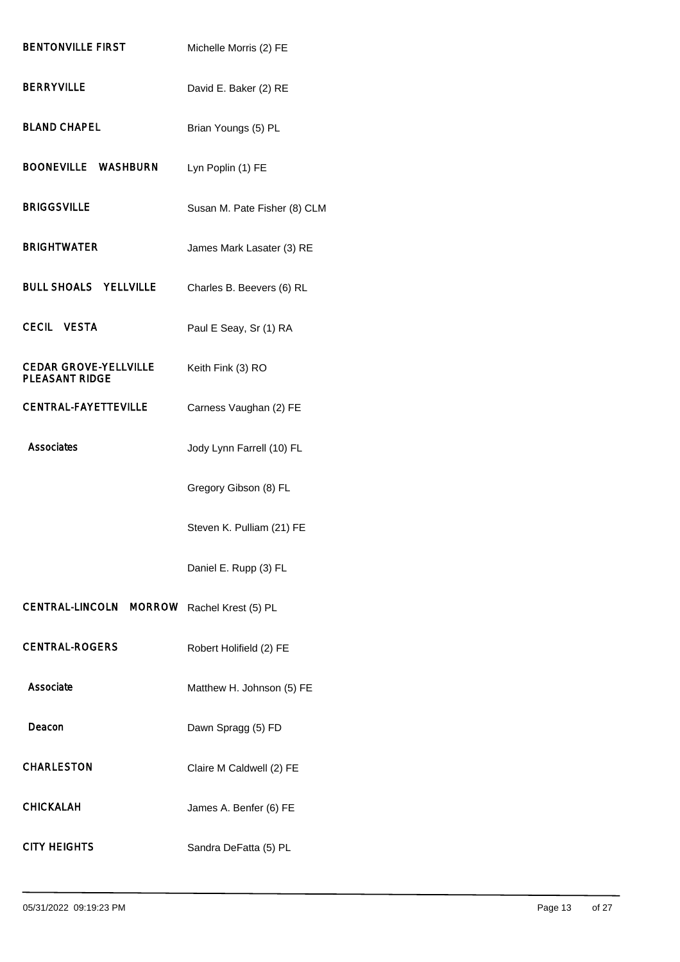| <b>BENTONVILLE FIRST</b>                              | Michelle Morris (2) FE       |
|-------------------------------------------------------|------------------------------|
| <b>BERRYVILLE</b>                                     | David E. Baker (2) RE        |
| <b>BLAND CHAPEL</b>                                   | Brian Youngs (5) PL          |
| BOONEVILLE WASHBURN                                   | Lyn Poplin (1) FE            |
| <b>BRIGGSVILLE</b>                                    | Susan M. Pate Fisher (8) CLM |
| <b>BRIGHTWATER</b>                                    | James Mark Lasater (3) RE    |
| <b>BULL SHOALS YELLVILLE</b>                          | Charles B. Beevers (6) RL    |
| <b>CECIL VESTA</b>                                    | Paul E Seay, Sr (1) RA       |
| <b>CEDAR GROVE-YELLVILLE</b><br><b>PLEASANT RIDGE</b> | Keith Fink (3) RO            |
| <b>CENTRAL-FAYETTEVILLE</b>                           | Carness Vaughan (2) FE       |
| <b>Associates</b>                                     | Jody Lynn Farrell (10) FL    |
|                                                       | Gregory Gibson (8) FL        |
|                                                       | Steven K. Pulliam (21) FE    |
|                                                       | Daniel E. Rupp (3) FL        |
| CENTRAL-LINCOLN MORROW                                | Rachel Krest (5) PL          |
| <b>CENTRAL-ROGERS</b>                                 | Robert Holifield (2) FE      |
| Associate                                             | Matthew H. Johnson (5) FE    |
| Deacon                                                | Dawn Spragg (5) FD           |
| <b>CHARLESTON</b>                                     | Claire M Caldwell (2) FE     |
| <b>CHICKALAH</b>                                      | James A. Benfer (6) FE       |
| <b>CITY HEIGHTS</b>                                   | Sandra DeFatta (5) PL        |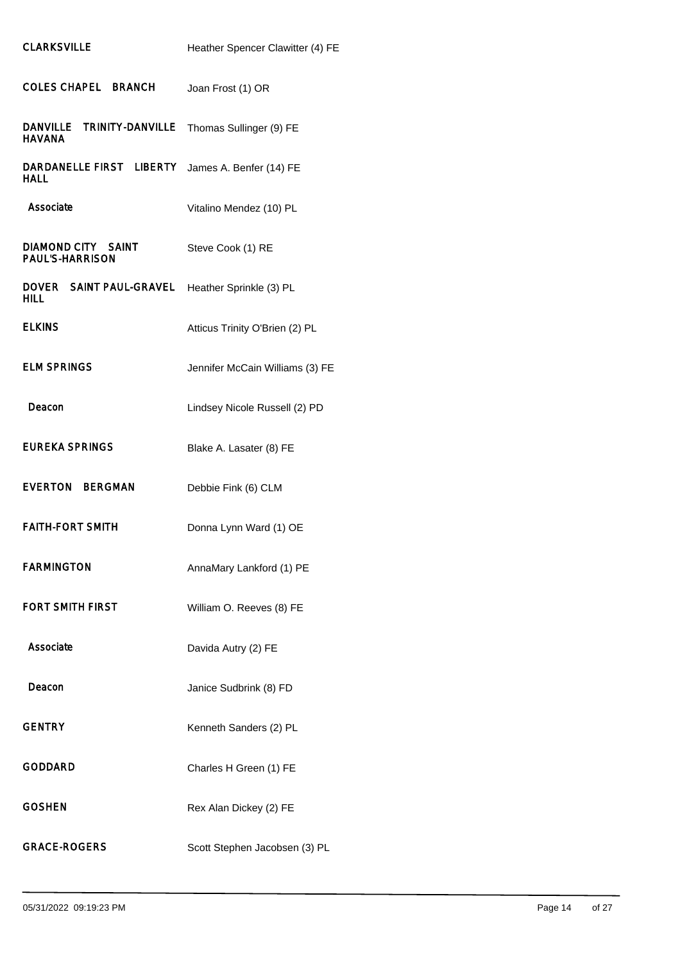| <b>COLES CHAPEL BRANCH</b>                           | Joan Frost (1) OR               |
|------------------------------------------------------|---------------------------------|
| <b>TRINITY-DANVILLE</b><br>DANVILLE<br><b>HAVANA</b> | Thomas Sullinger (9) FE         |
| DARDANELLE FIRST LIBERTY<br><b>HALL</b>              | James A. Benfer (14) FE         |
| Associate                                            | Vitalino Mendez (10) PL         |
| DIAMOND CITY SAINT<br><b>PAUL'S-HARRISON</b>         | Steve Cook (1) RE               |
| DOVER SAINT PAUL-GRAVEL<br>HILL.                     | Heather Sprinkle (3) PL         |
| <b>ELKINS</b>                                        | Atticus Trinity O'Brien (2) PL  |
| <b>ELM SPRINGS</b>                                   | Jennifer McCain Williams (3) FE |
| Deacon                                               | Lindsey Nicole Russell (2) PD   |
| EUREKA SPRINGS                                       | Blake A. Lasater (8) FE         |
| EVERTON BERGMAN                                      | Debbie Fink (6) CLM             |
| <b>FAITH-FORT SMITH</b>                              | Donna Lynn Ward (1) OE          |
| <b>FARMINGTON</b>                                    | AnnaMary Lankford (1) PE        |
| <b>FORT SMITH FIRST</b>                              | William O. Reeves (8) FE        |
| Associate                                            | Davida Autry (2) FE             |
| Deacon                                               | Janice Sudbrink (8) FD          |
| <b>GENTRY</b>                                        | Kenneth Sanders (2) PL          |
| <b>GODDARD</b>                                       | Charles H Green (1) FE          |
| <b>GOSHEN</b>                                        | Rex Alan Dickey (2) FE          |
| <b>GRACE-ROGERS</b>                                  | Scott Stephen Jacobsen (3) PL   |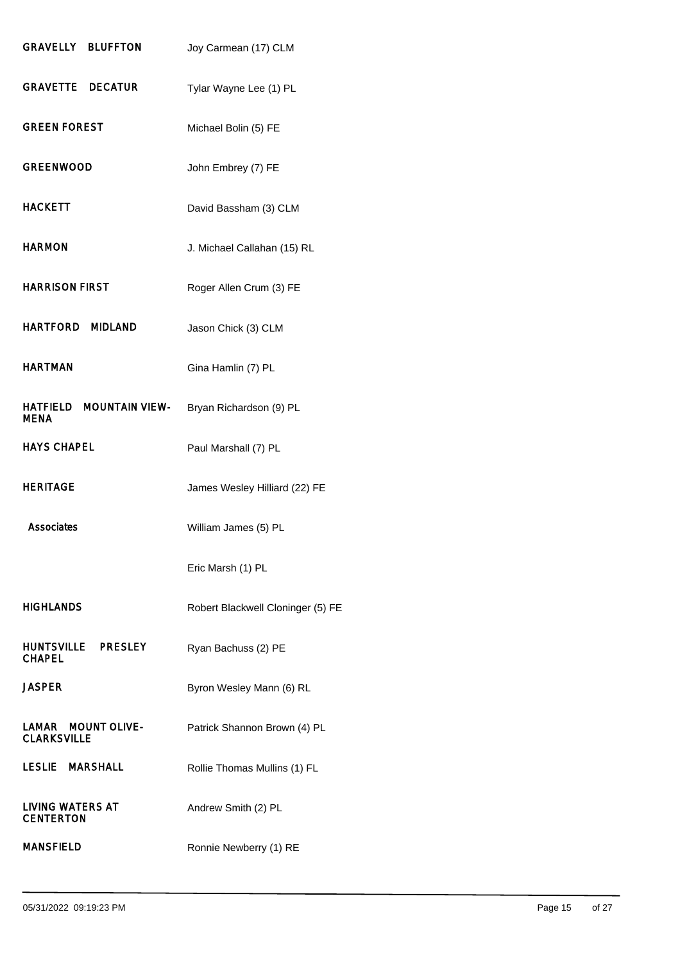| <b>GRAVELLY BLUFFTON</b>                         | Joy Carmean (17) CLM              |
|--------------------------------------------------|-----------------------------------|
| <b>GRAVETTE DECATUR</b>                          | Tylar Wayne Lee (1) PL            |
| <b>GREEN FOREST</b>                              | Michael Bolin (5) FE              |
| <b>GREENWOOD</b>                                 | John Embrey (7) FE                |
| <b>HACKETT</b>                                   | David Bassham (3) CLM             |
| <b>HARMON</b>                                    | J. Michael Callahan (15) RL       |
| <b>HARRISON FIRST</b>                            | Roger Allen Crum (3) FE           |
| HARTFORD MIDLAND                                 | Jason Chick (3) CLM               |
| <b>HARTMAN</b>                                   | Gina Hamlin (7) PL                |
| HATFIELD<br><b>MOUNTAIN VIEW-</b><br><b>MENA</b> | Bryan Richardson (9) PL           |
| <b>HAYS CHAPEL</b>                               | Paul Marshall (7) PL              |
| <b>HERITAGE</b>                                  | James Wesley Hilliard (22) FE     |
| Associates                                       | William James (5) PL              |
|                                                  |                                   |
|                                                  | Eric Marsh (1) PL                 |
| HIGHLANDS                                        | Robert Blackwell Cloninger (5) FE |
| HUNTSVILLE PRESLEY<br><b>CHAPEL</b>              | Ryan Bachuss (2) PE               |
| JASPER                                           | Byron Wesley Mann (6) RL          |
| LAMAR MOUNT OLIVE-<br><b>CLARKSVILLE</b>         | Patrick Shannon Brown (4) PL      |
| LESLIE MARSHALL                                  | Rollie Thomas Mullins (1) FL      |
| <b>LIVING WATERS AT</b><br><b>CENTERTON</b>      | Andrew Smith (2) PL               |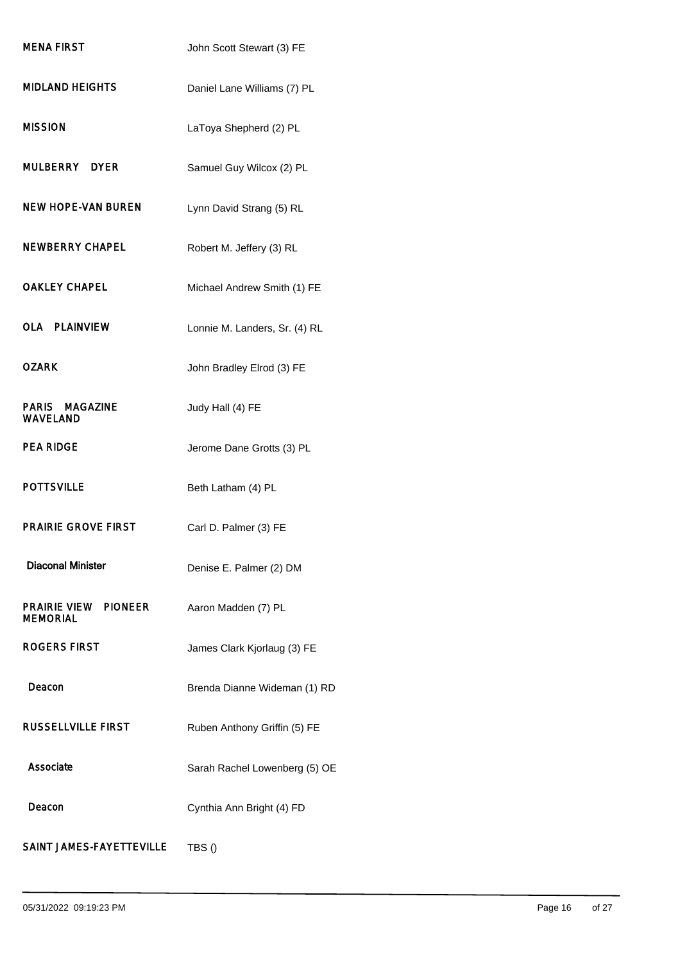| <b>MENA FIRST</b>                                 | John Scott Stewart (3) FE     |
|---------------------------------------------------|-------------------------------|
| <b>MIDLAND HEIGHTS</b>                            | Daniel Lane Williams (7) PL   |
| <b>MISSION</b>                                    | LaToya Shepherd (2) PL        |
| MULBERRY DYER                                     | Samuel Guy Wilcox (2) PL      |
| NEW HOPE-VAN BUREN                                | Lynn David Strang (5) RL      |
| <b>NEWBERRY CHAPEL</b>                            | Robert M. Jeffery (3) RL      |
| <b>OAKLEY CHAPEL</b>                              | Michael Andrew Smith (1) FE   |
| <b>OLA PLAINVIEW</b>                              | Lonnie M. Landers, Sr. (4) RL |
| <b>OZARK</b>                                      | John Bradley Elrod (3) FE     |
| <b>PARIS MAGAZINE</b><br><b>WAVELAND</b>          | Judy Hall (4) FE              |
| <b>PEA RIDGE</b>                                  | Jerome Dane Grotts (3) PL     |
| <b>POTTSVILLE</b>                                 | Beth Latham (4) PL            |
| <b>PRAIRIE GROVE FIRST</b>                        | Carl D. Palmer (3) FE         |
| <b>Diaconal Minister</b>                          | Denise E. Palmer (2) DM       |
| PRAIRIE VIEW<br><b>PIONEER</b><br><b>MEMORIAL</b> | Aaron Madden (7) PL           |
| <b>ROGERS FIRST</b>                               | James Clark Kjorlaug (3) FE   |
| Deacon                                            | Brenda Dianne Wideman (1) RD  |
| <b>RUSSELLVILLE FIRST</b>                         | Ruben Anthony Griffin (5) FE  |
| Associate                                         | Sarah Rachel Lowenberg (5) OE |
| Deacon                                            | Cynthia Ann Bright (4) FD     |
| SAINT JAMES-FAYETTEVILLE                          | TBS()                         |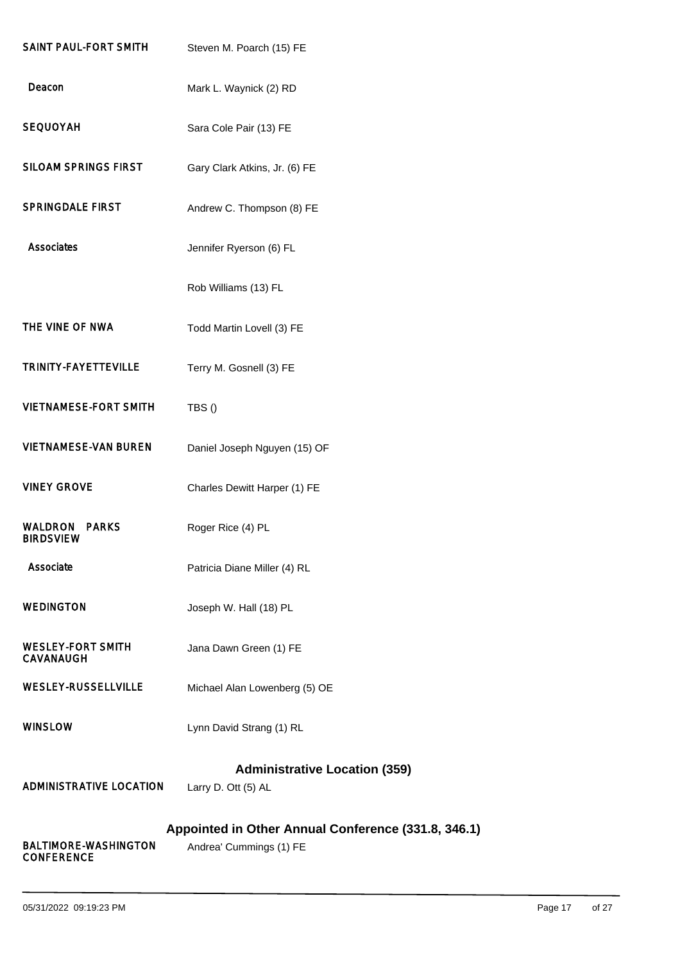| SAINT PAUL-FORT SMITH                            | Steven M. Poarch (15) FE                                                       |
|--------------------------------------------------|--------------------------------------------------------------------------------|
| Deacon                                           | Mark L. Waynick (2) RD                                                         |
| <b>SEQUOYAH</b>                                  | Sara Cole Pair (13) FE                                                         |
| <b>SILOAM SPRINGS FIRST</b>                      | Gary Clark Atkins, Jr. (6) FE                                                  |
| <b>SPRINGDALE FIRST</b>                          | Andrew C. Thompson (8) FE                                                      |
| <b>Associates</b>                                | Jennifer Ryerson (6) FL                                                        |
|                                                  | Rob Williams (13) FL                                                           |
| THE VINE OF NWA                                  | Todd Martin Lovell (3) FE                                                      |
| TRINITY-FAYETTEVILLE                             | Terry M. Gosnell (3) FE                                                        |
| <b>VIETNAMESE-FORT SMITH</b>                     | TBS()                                                                          |
| <b>VIETNAMESE-VAN BUREN</b>                      | Daniel Joseph Nguyen (15) OF                                                   |
| <b>VINEY GROVE</b>                               | Charles Dewitt Harper (1) FE                                                   |
| <b>PARKS</b><br>WALDRON<br><b>BIRDSVIEW</b>      | Roger Rice (4) PL                                                              |
| Associate                                        | Patricia Diane Miller (4) RL                                                   |
| <b>WEDINGTON</b>                                 | Joseph W. Hall (18) PL                                                         |
| <b>WESLEY-FORT SMITH</b><br><b>CAVANAUGH</b>     | Jana Dawn Green (1) FE                                                         |
| <b>WESLEY-RUSSELLVILLE</b>                       | Michael Alan Lowenberg (5) OE                                                  |
| <b>WINSLOW</b>                                   | Lynn David Strang (1) RL                                                       |
| <b>ADMINISTRATIVE LOCATION</b>                   | <b>Administrative Location (359)</b><br>Larry D. Ott (5) AL                    |
| <b>BALTIMORE-WASHINGTON</b><br><b>CONFERENCE</b> | Appointed in Other Annual Conference (331.8, 346.1)<br>Andrea' Cummings (1) FE |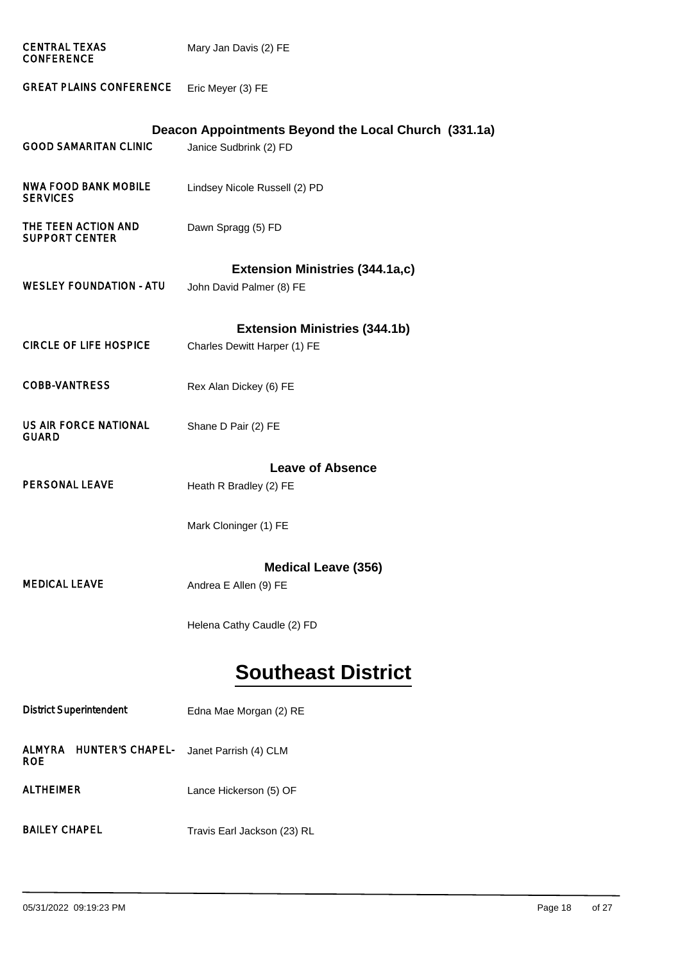| <b>CENTRAL TEXAS</b><br><b>CONFERENCE</b>              | Mary Jan Davis (2) FE                                |
|--------------------------------------------------------|------------------------------------------------------|
| <b>GREAT PLAINS CONFERENCE</b>                         | Eric Meyer (3) FE                                    |
|                                                        | Deacon Appointments Beyond the Local Church (331.1a) |
| <b>GOOD SAMARITAN CLINIC</b>                           | Janice Sudbrink (2) FD                               |
| <b>NWA FOOD BANK MOBILE</b><br><b>SERVICES</b>         | Lindsey Nicole Russell (2) PD                        |
| THE TEEN ACTION AND<br><b>SUPPORT CENTER</b>           | Dawn Spragg (5) FD                                   |
|                                                        | <b>Extension Ministries (344.1a,c)</b>               |
| <b>WESLEY FOUNDATION - ATU</b>                         | John David Palmer (8) FE                             |
|                                                        | <b>Extension Ministries (344.1b)</b>                 |
| <b>CIRCLE OF LIFE HOSPICE</b>                          | Charles Dewitt Harper (1) FE                         |
| <b>COBB-VANTRESS</b>                                   | Rex Alan Dickey (6) FE                               |
| <b>US AIR FORCE NATIONAL</b><br><b>GUARD</b>           | Shane D Pair (2) FE                                  |
|                                                        | <b>Leave of Absence</b>                              |
| <b>PERSONAL LEAVE</b>                                  | Heath R Bradley (2) FE                               |
|                                                        | Mark Cloninger (1) FE                                |
|                                                        | <b>Medical Leave (356)</b>                           |
| <b>MEDICAL LEAVE</b>                                   |                                                      |
|                                                        | Andrea E Allen (9) FE                                |
|                                                        | Helena Cathy Caudle (2) FD                           |
|                                                        | <b>Southeast District</b>                            |
| <b>District Superintendent</b>                         | Edna Mae Morgan (2) RE                               |
| <b>ALMYRA</b><br><b>HUNTER'S CHAPEL-</b><br><b>ROE</b> | Janet Parrish (4) CLM                                |
| <b>ALTHEIMER</b>                                       | Lance Hickerson (5) OF                               |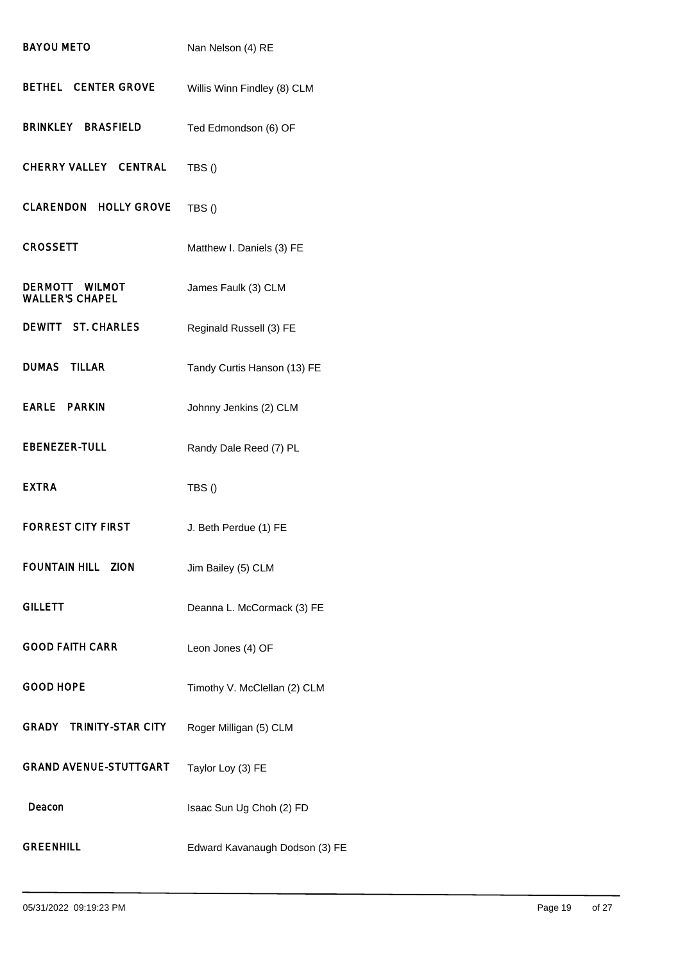| <b>BAYOU METO</b>                        | Nan Nelson (4) RE              |
|------------------------------------------|--------------------------------|
| <b>BETHEL CENTER GROVE</b>               | Willis Winn Findley (8) CLM    |
| BRINKLEY BRASFIELD                       | Ted Edmondson (6) OF           |
| CHERRY VALLEY CENTRAL                    | TBS()                          |
| <b>CLARENDON HOLLY GROVE</b>             | TBS()                          |
| <b>CROSSETT</b>                          | Matthew I. Daniels (3) FE      |
| DERMOTT WILMOT<br><b>WALLER'S CHAPEL</b> | James Faulk (3) CLM            |
| DEWITT ST. CHARLES                       | Reginald Russell (3) FE        |
| <b>DUMAS TILLAR</b>                      | Tandy Curtis Hanson (13) FE    |
| <b>EARLE PARKIN</b>                      | Johnny Jenkins (2) CLM         |
| <b>EBENEZER-TULL</b>                     | Randy Dale Reed (7) PL         |
| <b>EXTRA</b>                             | TBS()                          |
| <b>FORREST CITY FIRST</b>                | J. Beth Perdue (1) FE          |
| <b>FOUNTAIN HILL ZION</b>                | Jim Bailey (5) CLM             |
| <b>GILLETT</b>                           | Deanna L. McCormack (3) FE     |
| <b>GOOD FAITH CARR</b>                   | Leon Jones (4) OF              |
| <b>GOOD HOPE</b>                         | Timothy V. McClellan (2) CLM   |
| <b>GRADY TRINITY-STAR CITY</b>           | Roger Milligan (5) CLM         |
| <b>GRAND AVENUE-STUTTGART</b>            | Taylor Loy (3) FE              |
| Deacon                                   | Isaac Sun Ug Choh (2) FD       |
| <b>GREENHILL</b>                         | Edward Kavanaugh Dodson (3) FE |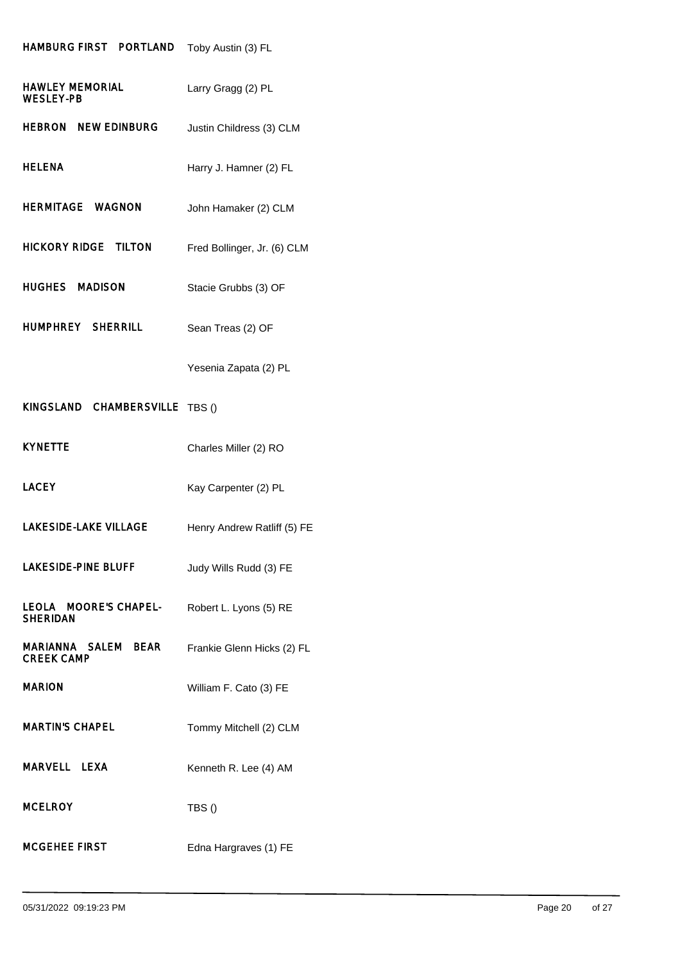### HAMBURG FIRST PORTLAND Toby Austin (3) FL

| <b>HAWLEY MEMORIAL</b><br><b>WESLEY-PB</b> | Larry Gragg (2) PL          |
|--------------------------------------------|-----------------------------|
| <b>HEBRON NEW EDINBURG</b>                 | Justin Childress (3) CLM    |
| <b>HELENA</b>                              | Harry J. Hamner (2) FL      |
| <b>HERMITAGE WAGNON</b>                    | John Hamaker (2) CLM        |
| <b>HICKORY RIDGE TILTON</b>                | Fred Bollinger, Jr. (6) CLM |
| HUGHES MADISON                             | Stacie Grubbs (3) OF        |
| <b>HUMPHREY SHERRILL</b>                   | Sean Treas (2) OF           |
|                                            | Yesenia Zapata (2) PL       |
| KINGSLAND CHAMBERSVILLE                    | TBS()                       |
| <b>KYNETTE</b>                             | Charles Miller (2) RO       |
|                                            |                             |
| <b>LACEY</b>                               | Kay Carpenter (2) PL        |
| <b>LAKESIDE-LAKE VILLAGE</b>               | Henry Andrew Ratliff (5) FE |
| <b>LAKESIDE-PINE BLUFF</b>                 | Judy Wills Rudd (3) FE      |
| LEOLA MOORE'S CHAPEL-<br><b>SHERIDAN</b>   | Robert L. Lyons (5) RE      |
| MARIANNA SALEM BEAR<br><b>CREEK CAMP</b>   | Frankie Glenn Hicks (2) FL  |
| <b>MARION</b>                              | William F. Cato (3) FE      |
| <b>MARTIN'S CHAPEL</b>                     | Tommy Mitchell (2) CLM      |
| MARVELL LEXA                               | Kenneth R. Lee (4) AM       |
| <b>MCELROY</b>                             | TBS()                       |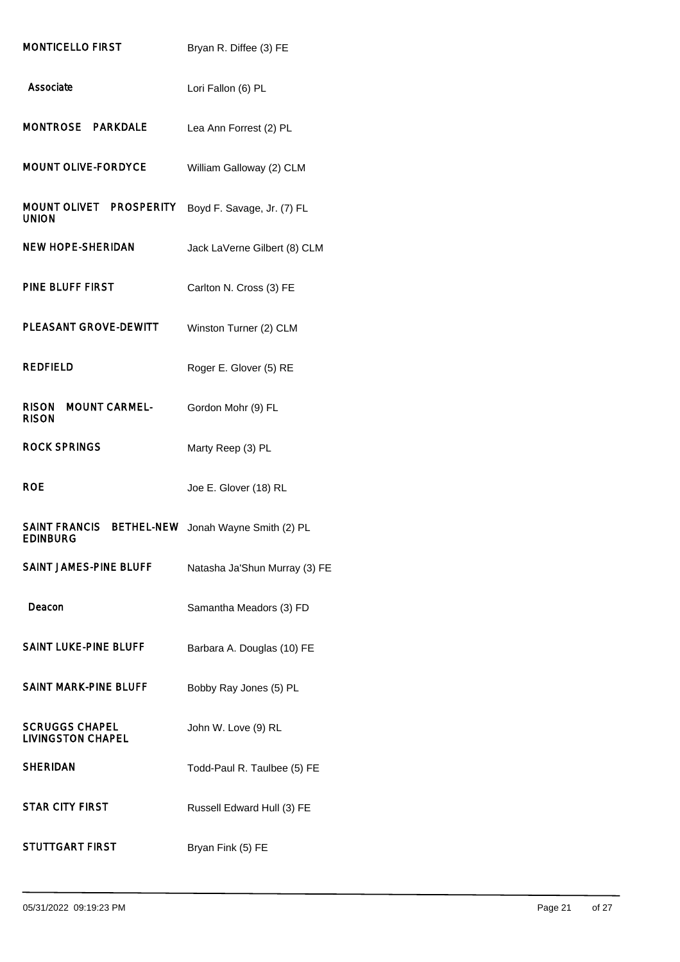| <b>MONTICELLO FIRST</b>                                      | Bryan R. Diffee (3) FE        |
|--------------------------------------------------------------|-------------------------------|
| Associate                                                    | Lori Fallon (6) PL            |
| MONTROSE PARKDALE                                            | Lea Ann Forrest (2) PL        |
| <b>MOUNT OLIVE-FORDYCE</b>                                   | William Galloway (2) CLM      |
| MOUNT OLIVET PROSPERITY<br><b>UNION</b>                      | Boyd F. Savage, Jr. (7) FL    |
| <b>NEW HOPE-SHERIDAN</b>                                     | Jack LaVerne Gilbert (8) CLM  |
| <b>PINE BLUFF FIRST</b>                                      | Carlton N. Cross (3) FE       |
| <b>PLEASANT GROVE-DEWITT</b>                                 | Winston Turner (2) CLM        |
| <b>REDFIELD</b>                                              | Roger E. Glover (5) RE        |
| <b>MOUNT CARMEL</b><br><b>RISON</b><br><b>RISON</b>          | Gordon Mohr (9) FL            |
| <b>ROCK SPRINGS</b>                                          | Marty Reep (3) PL             |
| <b>ROE</b>                                                   | Joe E. Glover (18) RL         |
|                                                              |                               |
| <b>SAINT FRANCIS</b><br><b>BETHEL-NEW</b><br><b>EDINBURG</b> | Jonah Wayne Smith (2) PL      |
| <b>SAINT JAMES-PINE BLUFF</b>                                | Natasha Ja'Shun Murray (3) FE |
| Deacon                                                       | Samantha Meadors (3) FD       |
| SAINT LUKE-PINE BLUFF                                        | Barbara A. Douglas (10) FE    |
| <b>SAINT MARK-PINE BLUFF</b>                                 | Bobby Ray Jones (5) PL        |
| <b>SCRUGGS CHAPEL</b><br><b>LIVINGSTON CHAPEL</b>            | John W. Love (9) RL           |
| <b>SHERIDAN</b>                                              | Todd-Paul R. Taulbee (5) FE   |
| <b>STAR CITY FIRST</b>                                       | Russell Edward Hull (3) FE    |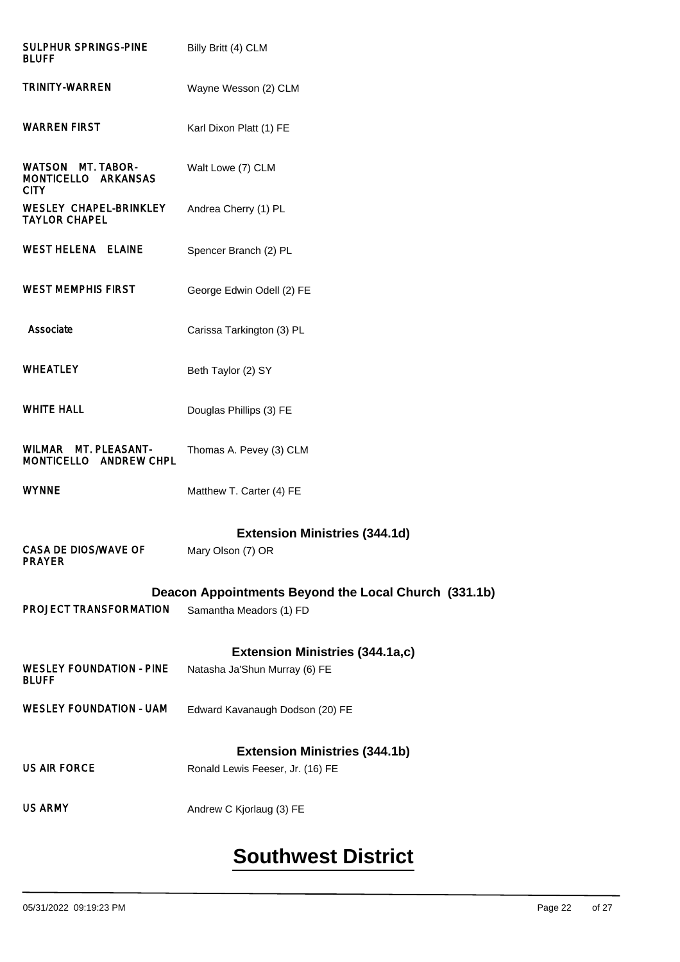| <b>SULPHUR SPRINGS-PINE</b><br><b>BLUFF</b>             | Billy Britt (4) CLM                                  |
|---------------------------------------------------------|------------------------------------------------------|
| <b>TRINITY-WARREN</b>                                   | Wayne Wesson (2) CLM                                 |
| <b>WARREN FIRST</b>                                     | Karl Dixon Platt (1) FE                              |
| WATSON MT. TABOR-<br>MONTICELLO ARKANSAS<br><b>CITY</b> | Walt Lowe (7) CLM                                    |
| WESLEY CHAPEL-BRINKLEY<br><b>TAYLOR CHAPEL</b>          | Andrea Cherry (1) PL                                 |
| <b>WEST HELENA ELAINE</b>                               | Spencer Branch (2) PL                                |
| <b>WEST MEMPHIS FIRST</b>                               | George Edwin Odell (2) FE                            |
| Associate                                               | Carissa Tarkington (3) PL                            |
| <b>WHEATLEY</b>                                         | Beth Taylor (2) SY                                   |
| <b>WHITE HALL</b>                                       | Douglas Phillips (3) FE                              |
| WILMAR MT. PLEASANT-<br>MONTICELLO ANDREW CHPL          | Thomas A. Pevey (3) CLM                              |
| <b>WYNNE</b>                                            | Matthew T. Carter (4) FE                             |
|                                                         | <b>Extension Ministries (344.1d)</b>                 |
| <b>CASA DE DIOS/WAVE OF</b><br><b>PRAYER</b>            | Mary Olson (7) OR                                    |
|                                                         | Deacon Appointments Beyond the Local Church (331.1b) |
| <b>PROJECT TRANSFORMATION</b>                           | Samantha Meadors (1) FD                              |
|                                                         | <b>Extension Ministries (344.1a,c)</b>               |
| <b>WESLEY FOUNDATION - PINE</b><br><b>BLUFF</b>         | Natasha Ja'Shun Murray (6) FE                        |
| <b>WESLEY FOUNDATION - UAM</b>                          | Edward Kavanaugh Dodson (20) FE                      |
|                                                         | <b>Extension Ministries (344.1b)</b>                 |
| <b>US AIR FORCE</b>                                     | Ronald Lewis Feeser, Jr. (16) FE                     |
| <b>US ARMY</b>                                          | Andrew C Kjorlaug (3) FE                             |

# **Southwest District**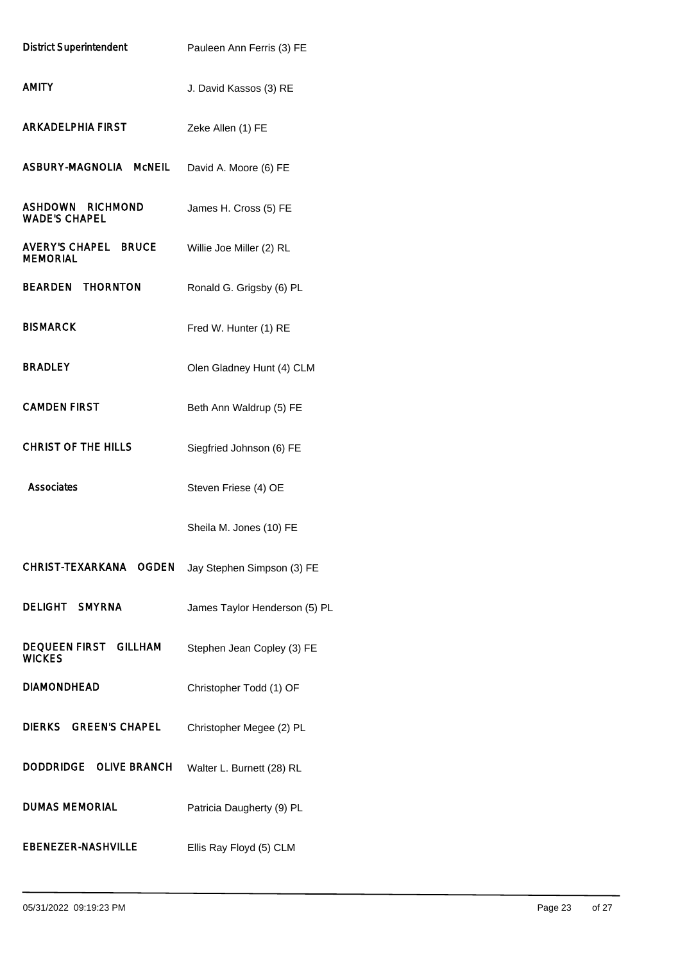| <b>District Superintendent</b>                     | Pauleen Ann Ferris (3) FE     |
|----------------------------------------------------|-------------------------------|
| <b>AMITY</b>                                       | J. David Kassos (3) RE        |
| <b>ARKADELPHIA FIRST</b>                           | Zeke Allen (1) FE             |
| ASBURY-MAGNOLIA MCNEIL                             | David A. Moore (6) FE         |
| <b>RICHMOND</b><br>ASHDOWN<br><b>WADE'S CHAPEL</b> | James H. Cross (5) FE         |
| <b>AVERY'S CHAPEL BRUCE</b><br><b>MEMORIAL</b>     | Willie Joe Miller (2) RL      |
| <b>BEARDEN THORNTON</b>                            | Ronald G. Grigsby (6) PL      |
| <b>BISMARCK</b>                                    | Fred W. Hunter (1) RE         |
| <b>BRADLEY</b>                                     | Olen Gladney Hunt (4) CLM     |
| <b>CAMDEN FIRST</b>                                | Beth Ann Waldrup (5) FE       |
| <b>CHRIST OF THE HILLS</b>                         | Siegfried Johnson (6) FE      |
| Associates                                         | Steven Friese (4) OE          |
|                                                    | Sheila M. Jones (10) FE       |
| <b>CHRIST-TEXARKANA</b><br><b>OGDEN</b>            | Jay Stephen Simpson (3) FE    |
| DELIGHT SMYRNA                                     | James Taylor Henderson (5) PL |
| <b>DEQUEEN FIRST GILLHAM</b><br><b>WICKES</b>      | Stephen Jean Copley (3) FE    |
| <b>DIAMONDHEAD</b>                                 | Christopher Todd (1) OF       |
| DIERKS GREEN'S CHAPEL                              | Christopher Megee (2) PL      |
| Doddridge<br><b>OLIVE BRANCH</b>                   | Walter L. Burnett (28) RL     |
| <b>DUMAS MEMORIAL</b>                              | Patricia Daugherty (9) PL     |
| <b>EBENEZER-NASHVILLE</b>                          | Ellis Ray Floyd (5) CLM       |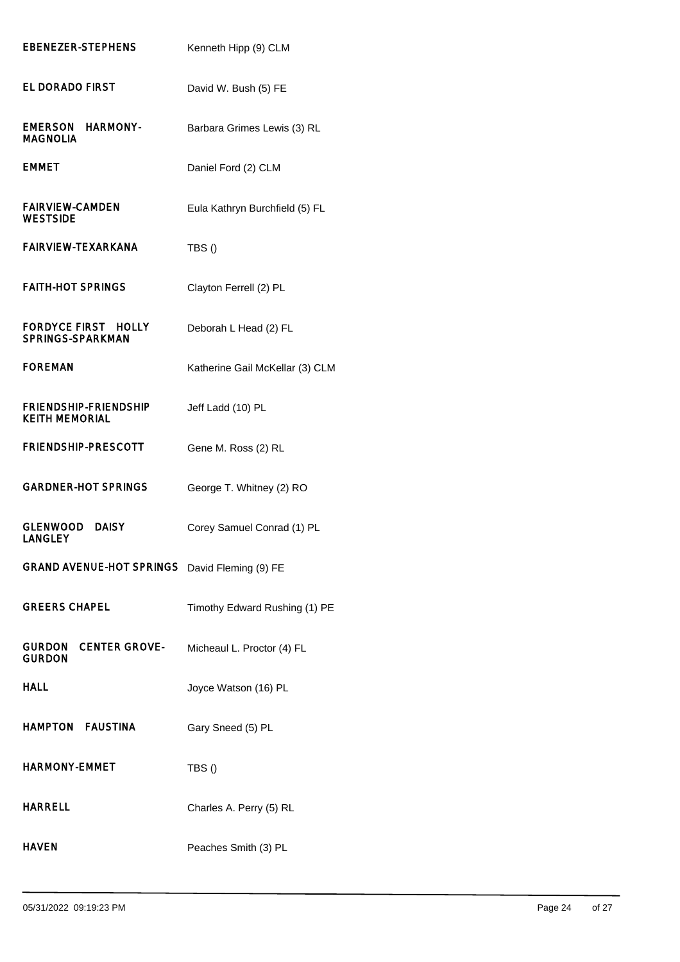| <b>EBENEZER-STEPHENS</b>                                        | Kenneth Hipp (9) CLM            |
|-----------------------------------------------------------------|---------------------------------|
| EL DORADO FIRST                                                 | David W. Bush (5) FE            |
| EMERSON<br><b>HARMONY-</b><br><b>MAGNOLIA</b>                   | Barbara Grimes Lewis (3) RL     |
| <b>EMMET</b>                                                    | Daniel Ford (2) CLM             |
| <b>FAIRVIEW-CAMDEN</b><br><b>WESTSIDE</b>                       | Eula Kathryn Burchfield (5) FL  |
| <b>FAIRVIEW-TEXARKANA</b>                                       | TBS()                           |
| <b>FAITH-HOT SPRINGS</b>                                        | Clayton Ferrell (2) PL          |
| <b>FORDYCE FIRST</b><br><b>HOLLY</b><br><b>SPRINGS-SPARKMAN</b> | Deborah L Head (2) FL           |
| <b>FOREMAN</b>                                                  | Katherine Gail McKellar (3) CLM |
| <b>FRIENDSHIP-FRIENDSHIP</b><br><b>KEITH MEMORIAL</b>           | Jeff Ladd (10) PL               |
| <b>FRIENDSHIP-PRESCOTT</b>                                      | Gene M. Ross (2) RL             |
| <b>GARDNER-HOT SPRINGS</b>                                      | George T. Whitney (2) RO        |
| <b>GLENWOOD</b><br><b>DAISY</b><br><b>LANGLEY</b>               | Corey Samuel Conrad (1) PL      |
| <b>GRAND AVENUE-HOT SPRINGS</b>                                 | David Fleming (9) FE            |
| <b>GREERS CHAPEL</b>                                            | Timothy Edward Rushing (1) PE   |
| <b>CENTER GROVE-</b><br>Gurdon<br><b>GURDON</b>                 | Micheaul L. Proctor (4) FL      |
| HALL                                                            | Joyce Watson (16) PL            |
| <b>HAMPTON FAUSTINA</b>                                         | Gary Sneed (5) PL               |
| HARMONY-EMMET                                                   | TBS()                           |
| <b>HARRELL</b>                                                  | Charles A. Perry (5) RL         |
| <b>HAVEN</b>                                                    | Peaches Smith (3) PL            |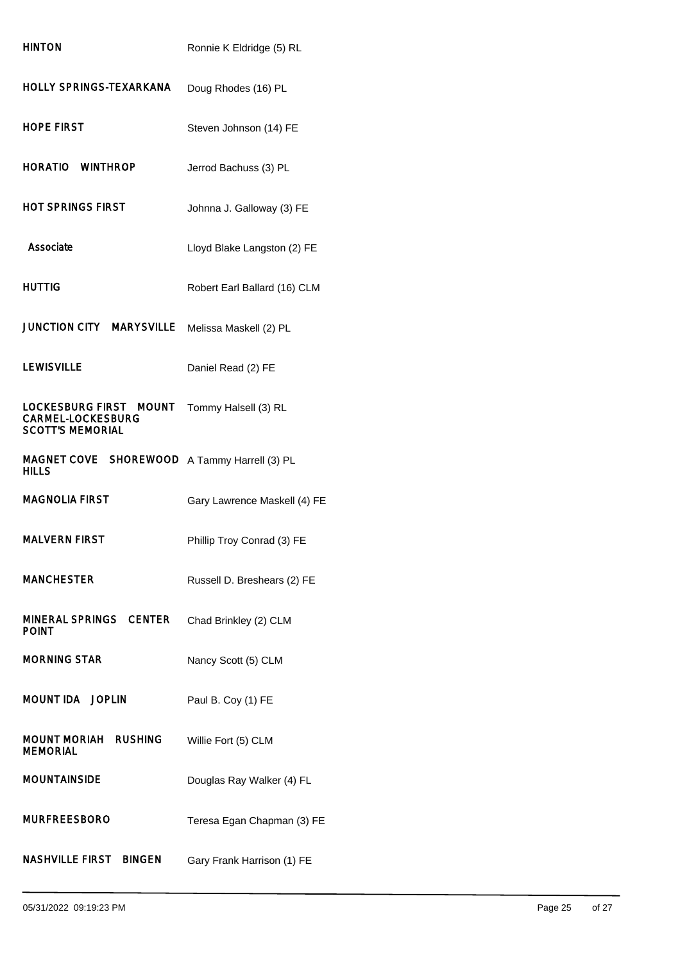| <b>HINTON</b>                                                                 | Ronnie K Eldridge (5) RL     |
|-------------------------------------------------------------------------------|------------------------------|
| HOLLY SPRINGS-TEXARKANA                                                       | Doug Rhodes (16) PL          |
| HOPE FIRST                                                                    | Steven Johnson (14) FE       |
| HORATIO WINTHROP                                                              | Jerrod Bachuss (3) PL        |
| HOT SPRINGS FIRST                                                             | Johnna J. Galloway (3) FE    |
| Associate                                                                     | Lloyd Blake Langston (2) FE  |
| HUTTIG                                                                        | Robert Earl Ballard (16) CLM |
| <b>JUNCTION CITY MARYSVILLE</b>                                               | Melissa Maskell (2) PL       |
| LEWISVILLE                                                                    | Daniel Read (2) FE           |
| LOCKESBURG FIRST MOUNT<br><b>CARMEL-LOCKESBURG</b><br><b>SCOTT'S MEMORIAL</b> | Tommy Halsell (3) RL         |
| MAGNET COVE SHOREWOOD<br>HILLS                                                | A Tammy Harrell (3) PL       |
| MAGNOLIA FIRST                                                                | Gary Lawrence Maskell (4) FE |
| <b>MALVERN FIRST</b>                                                          | Phillip Troy Conrad (3) FE   |
| <b>MANCHESTER</b>                                                             | Russell D. Breshears (2) FE  |
| MINERAL SPRINGS CENTER<br><b>POINT</b>                                        | Chad Brinkley (2) CLM        |
| <b>MORNING STAR</b>                                                           | Nancy Scott (5) CLM          |
| <b>MOUNT IDA JOPLIN</b>                                                       | Paul B. Coy (1) FE           |
| <b>MOUNT MORIAH RUSHING</b><br><b>MEMORIAL</b>                                | Willie Fort (5) CLM          |
| <b>MOUNTAINSIDE</b>                                                           | Douglas Ray Walker (4) FL    |
| <b>MURFREESBORO</b>                                                           | Teresa Egan Chapman (3) FE   |
| NASHVILLE FIRST BINGEN                                                        | Gary Frank Harrison (1) FE   |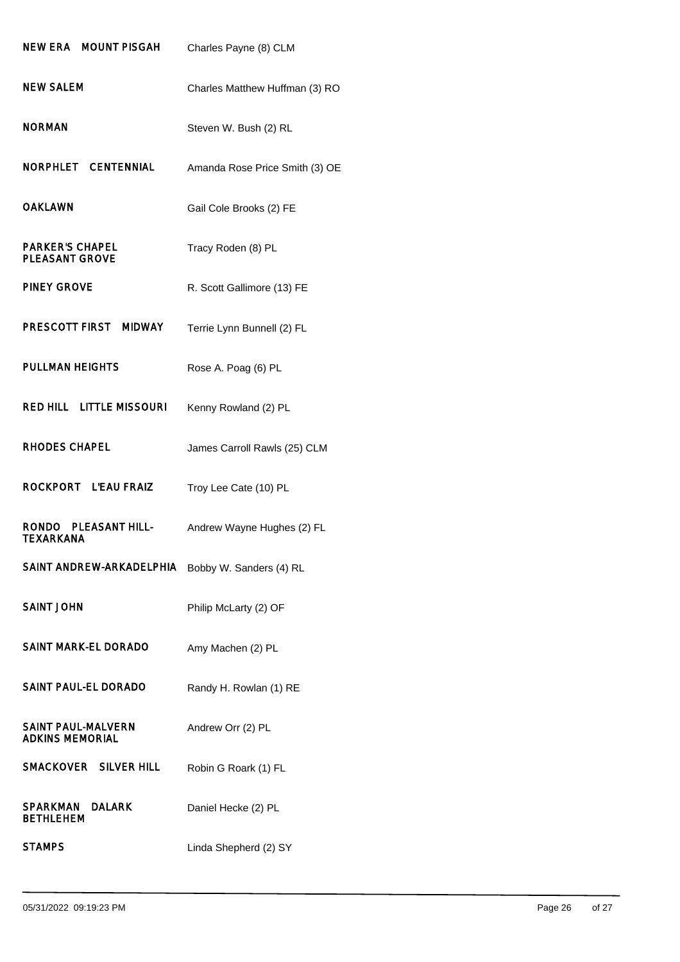| NEW ERA MOUNT PISGAH                                | Charles Payne (8) CLM          |
|-----------------------------------------------------|--------------------------------|
| NEW SALEM                                           | Charles Matthew Huffman (3) RO |
| <b>NORMAN</b>                                       | Steven W. Bush (2) RL          |
| NORPHLET CENTENNIAL                                 | Amanda Rose Price Smith (3) OE |
| <b>OAKLAWN</b>                                      | Gail Cole Brooks (2) FE        |
| <b>PARKER'S CHAPEL</b><br><b>PLEASANT GROVE</b>     | Tracy Roden (8) PL             |
| <b>PINEY GROVE</b>                                  | R. Scott Gallimore (13) FE     |
| PRESCOTT FIRST MIDWAY                               | Terrie Lynn Bunnell (2) FL     |
| <b>PULLMAN HEIGHTS</b>                              | Rose A. Poag (6) PL            |
| <b>RED HILL LITTLE MISSOURI</b>                     | Kenny Rowland (2) PL           |
| <b>RHODES CHAPEL</b>                                | James Carroll Rawls (25) CLM   |
| ROCKPORT L'EAU FRAIZ                                | Troy Lee Cate (10) PL          |
| RONDO PLEASANT HILL-<br><b>TEXARKANA</b>            | Andrew Wayne Hughes (2) FL     |
| SAINT ANDREW-ARKADELPHIA                            | Bobby W. Sanders (4) RL        |
| <b>SAINT JOHN</b>                                   | Philip McLarty (2) OF          |
| <b>SAINT MARK-EL DORADO</b>                         | Amy Machen (2) PL              |
| SAINT PAUL-EL DORADO                                | Randy H. Rowlan (1) RE         |
| <b>SAINT PAUL-MALVERN</b><br><b>ADKINS MEMORIAL</b> | Andrew Orr (2) PL              |
| SMACKOVER SILVER HILL                               | Robin G Roark (1) FL           |
| <b>SPARKMAN</b><br><b>DALARK</b><br>BETHLEHEM       | Daniel Hecke (2) PL            |
| <b>STAMPS</b>                                       | Linda Shepherd (2) SY          |